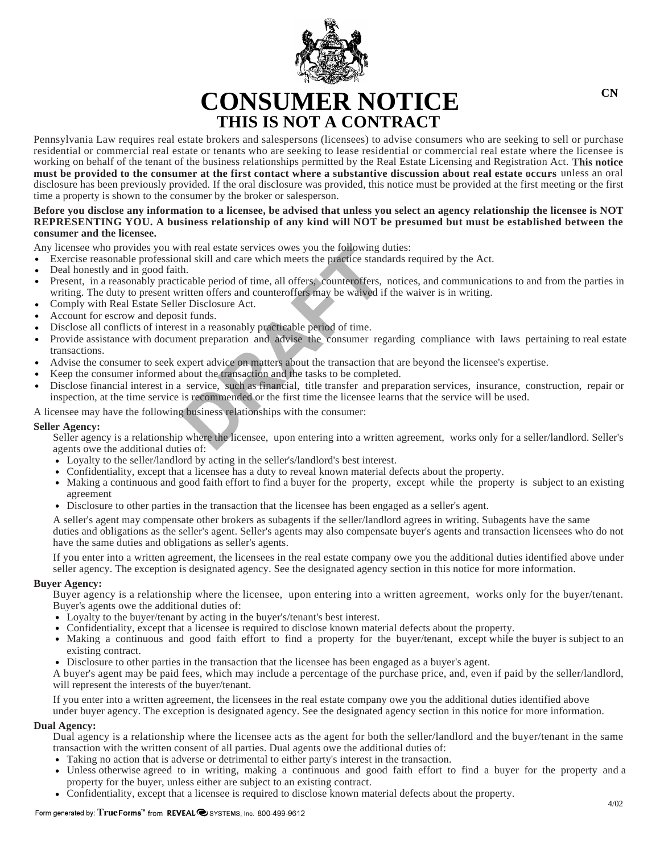

**CONSUMER NOTICE CN THIS IS NOT A CONTRACT**

Pennsylvania Law requires real estate brokers and salespersons (licensees) to advise consumers who are seeking to sell or purchase residential or commercial real estate or tenants who are seeking to lease residential or commercial real estate where the licensee is working on behalf of the tenant of the business relationships permitted by the Real Estate Licensing and Registration Act. **This notice must be provided to the consumer at the first contact where a substantive discussion about real estate occurs** unless an oral disclosure has been previously provided. If the oral disclosure was provided, this notice must be provided at the first meeting or the first time a property is shown to the consumer by the broker or salesperson.

## **Before you disclose any information to a licensee, be advised that unless you select an agency relationship the licensee is NOT REPRESENTING YOU. A business relationship of any kind will NOT be presumed but must be established between the consumer and the licensee.**

Any licensee who provides you with real estate services owes you the following duties:

- Exercise reasonable professional skill and care which meets the practice standards required by the Act.
- Deal honestly and in good faith.
- Present, in a reasonably practicable period of time, all offers, counteroffers, notices, and communications to and from the parties in writing. The duty to present written offers and counteroffers may be waived if the waiver is in writing.
- Comply with Real Estate Seller Disclosure Act.
- Account for escrow and deposit funds.
- Disclose all conflicts of interest in a reasonably practicable period of time.
- Provide assistance with document preparation and advise the consumer regarding compliance with laws pertaining to real estate transactions.
- Advise the consumer to seek expert advice on matters about the transaction that are beyond the licensee's expertise.
- Keep the consumer informed about the transaction and the tasks to be completed.
- Disclose financial interest in a service, such as financial, title transfer and preparation services, insurance, construction, repair or inspection, at the time service is recommended or the first time the licensee learns that the service will be used.

A licensee may have the following business relationships with the consumer:

## **Seller Agency:**

Seller agency is a relationship where the licensee, upon entering into a written agreement, works only for a seller/landlord. Seller's agents owe the additional duties of:

- Loyalty to the seller/landlord by acting in the seller's/landlord's best interest.
- Confidentiality, except that a licensee has a duty to reveal known material defects about the property.
- Making a continuous and good faith effort to find a buyer for the property, except while the property is subject to an existing agreement
- Disclosure to other parties in the transaction that the licensee has been engaged as a seller's agent.

A seller's agent may compensate other brokers as subagents if the seller/landlord agrees in writing. Subagents have the same duties and obligations as the seller's agent. Seller's agents may also compensate buyer's agents and transaction licensees who do not have the same duties and obligations as seller's agents.

If you enter into a written agreement, the licensees in the real estate company owe you the additional duties identified above under seller agency. The exception is designated agency. See the designated agency section in this notice for more information.

#### **Buyer Agency:**

Buyer agency is a relationship where the licensee, upon entering into a written agreement, works only for the buyer/tenant. Buyer's agents owe the additional duties of:

- Loyalty to the buyer/tenant by acting in the buyer's/tenant's best interest.
- Confidentiality, except that a licensee is required to disclose known material defects about the property.
- Making a continuous and good faith effort to find a property for the buyer/tenant, except while the buyer is subject to an existing contract.
- Disclosure to other parties in the transaction that the licensee has been engaged as a buyer's agent.

A buyer's agent may be paid fees, which may include a percentage of the purchase price, and, even if paid by the seller/landlord, will represent the interests of the buyer/tenant.

If you enter into a written agreement, the licensees in the real estate company owe you the additional duties identified above

under buyer agency. The exception is designated agency. See the designated agency section in this notice for more information.

#### **Dual Agency:**

Dual agency is a relationship where the licensee acts as the agent for both the seller/landlord and the buyer/tenant in the same transaction with the written consent of all parties. Dual agents owe the additional duties of:

- Taking no action that is adverse or detrimental to either party's interest in the transaction.
- Unless otherwise agreed to in writing, making a continuous and good faith effort to find a buyer for the property and a property for the buyer, unless either are subject to an existing contract.
- Confidentiality, except that a licensee is required to disclose known material defects about the property.

4/02